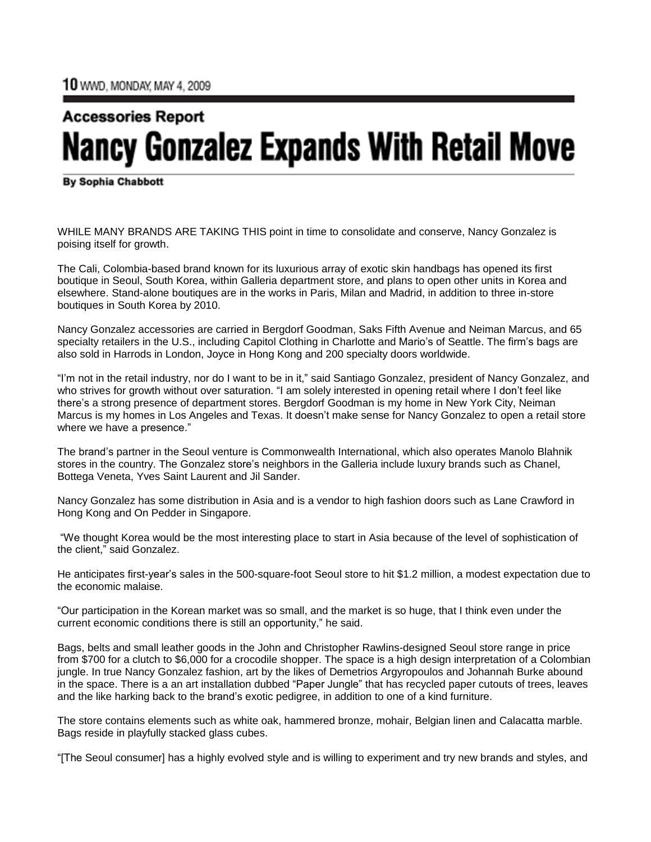## **Accessories Report Nancy Gonzalez Expands With Retail Move**

**By Sophia Chabbott** 

WHILE MANY BRANDS ARE TAKING THIS point in time to consolidate and conserve, Nancy Gonzalez is poising itself for growth.

The Cali, Colombia-based brand known for its luxurious array of exotic skin handbags has opened its first boutique in Seoul, South Korea, within Galleria department store, and plans to open other units in Korea and elsewhere. Stand-alone boutiques are in the works in Paris, Milan and Madrid, in addition to three in-store boutiques in South Korea by 2010.

Nancy Gonzalez accessories are carried in Bergdorf Goodman, Saks Fifth Avenue and Neiman Marcus, and 65 specialty retailers in the U.S., including Capitol Clothing in Charlotte and Mario's of Seattle. The firm's bags are also sold in Harrods in London, Joyce in Hong Kong and 200 specialty doors worldwide.

"I'm not in the retail industry, nor do I want to be in it," said Santiago Gonzalez, president of Nancy Gonzalez, and who strives for growth without over saturation. "I am solely interested in opening retail where I don't feel like there's a strong presence of department stores. Bergdorf Goodman is my home in New York City, Neiman Marcus is my homes in Los Angeles and Texas. It doesn't make sense for Nancy Gonzalez to open a retail store where we have a presence."

The brand's partner in the Seoul venture is Commonwealth International, which also operates Manolo Blahnik stores in the country. The Gonzalez store's neighbors in the Galleria include luxury brands such as Chanel, Bottega Veneta, Yves Saint Laurent and Jil Sander.

Nancy Gonzalez has some distribution in Asia and is a vendor to high fashion doors such as Lane Crawford in Hong Kong and On Pedder in Singapore.

"We thought Korea would be the most interesting place to start in Asia because of the level of sophistication of the client," said Gonzalez.

He anticipates first-year's sales in the 500-square-foot Seoul store to hit \$1.2 million, a modest expectation due to the economic malaise.

"Our participation in the Korean market was so small, and the market is so huge, that I think even under the current economic conditions there is still an opportunity," he said.

Bags, belts and small leather goods in the John and Christopher Rawlins-designed Seoul store range in price from \$700 for a clutch to \$6,000 for a crocodile shopper. The space is a high design interpretation of a Colombian jungle. In true Nancy Gonzalez fashion, art by the likes of Demetrios Argyropoulos and Johannah Burke abound in the space. There is a an art installation dubbed "Paper Jungle" that has recycled paper cutouts of trees, leaves and the like harking back to the brand's exotic pedigree, in addition to one of a kind furniture.

The store contains elements such as white oak, hammered bronze, mohair, Belgian linen and Calacatta marble. Bags reside in playfully stacked glass cubes.

"[The Seoul consumer] has a highly evolved style and is willing to experiment and try new brands and styles, and